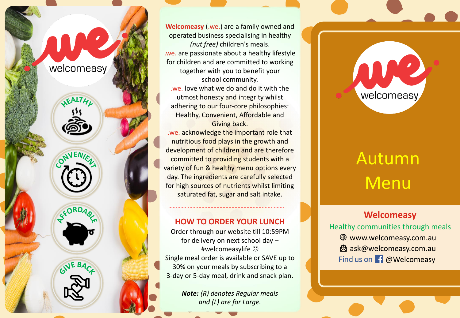

**Welcomeasy** (.we.) are a family owned and operated business specialising in healthy *(nut free)* children's meals. .we. are passionate about a healthy lifestyle for children and are committed to working together with you to benefit your school community. .we. love what we do and do it with the utmost honesty and integrity whilst adhering to our four-core philosophies: Healthy, Convenient, Affordable and Giving back. .we. acknowledge the important role that nutritious food plays in the growth and development of children and are therefore committed to providing students with a variety of fun & healthy menu options every day. The ingredients are carefully selected for high sources of nutrients whilst limiting saturated fat, sugar and salt intake.

### **HOW TO ORDER YOUR LUNCH**

Order through our website till 10:59PM for delivery on next school day – #welcomeasylife ☺ Single meal order is available or SAVE up to 30% on your meals by subscribing to a 3-day or 5-day meal, drink and snack plan.

> *Note: (R) denotes Regular meals and (L) are for Large.*

# Autumn Menu

welcomeasy

### **Welcomeasy**

Healthy communities through meals www.welcomeasy.com.au **A** ask@welcomeasy.com.au Find us on **f** @Welcomeasy